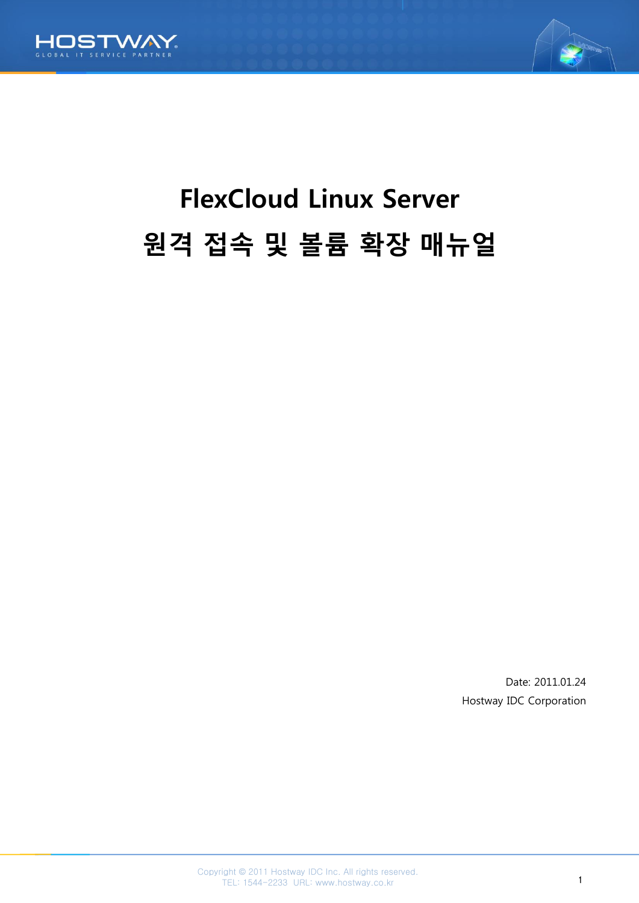



# FlexCloud Linux Server 원격 접속 및 볼륨 확장 매뉴얼

Date: 2011.01.24 Hostway IDC Corporation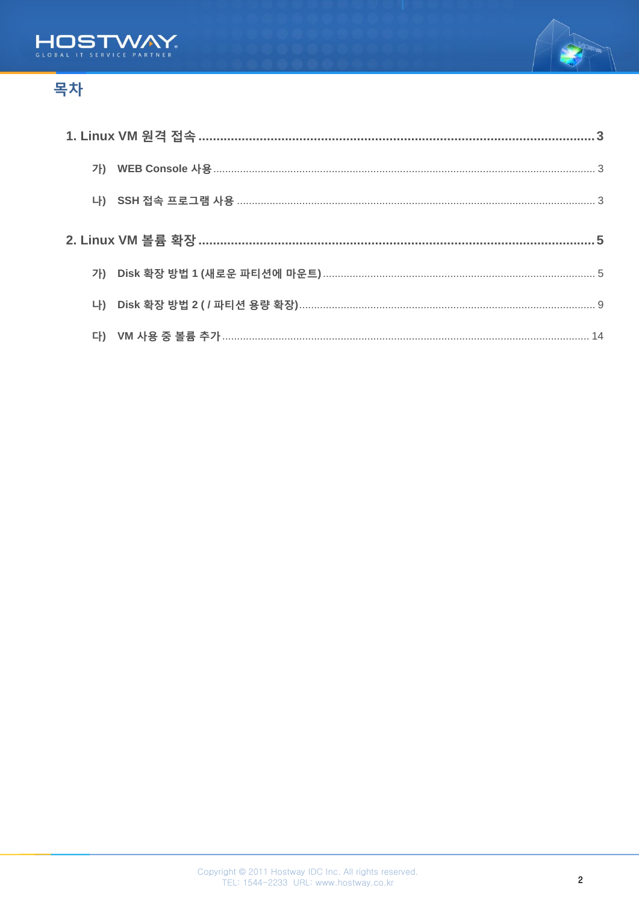



# 목차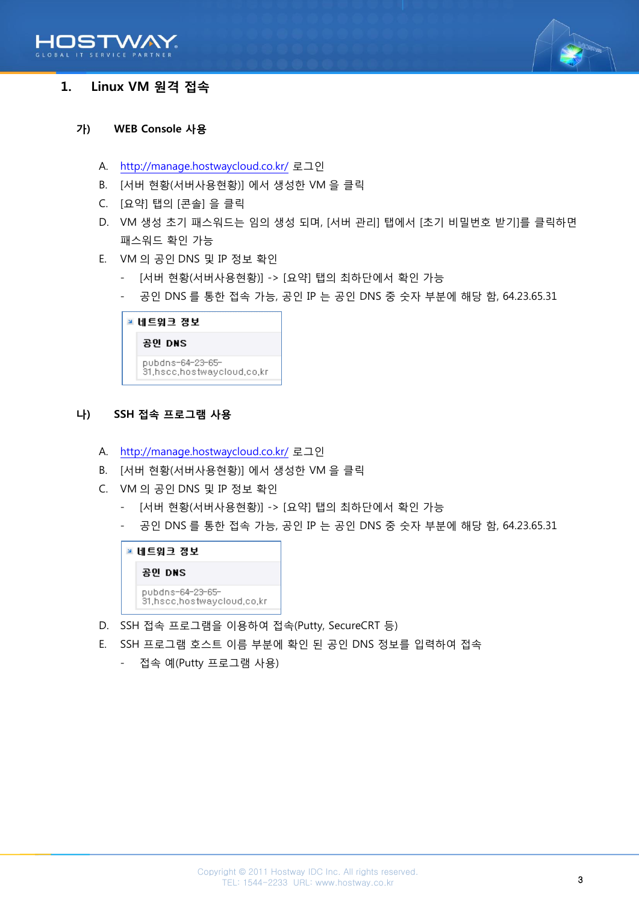



# <span id="page-2-0"></span>1. Linux VM 원격 접속

#### <span id="page-2-1"></span>가) WEB Console 사용

- A. <http://manage.hostwaycloud.co.kr/> 로그인
- B. [서버 현황(서버사용현황)] 에서 생성한 VM 을 클릭
- C. [요약] 탭의 [콘솔] 을 클릭
- D. VM 생성 초기 패스워드는 임의 생성 되며, [서버 관리] 탭에서 [초기 비밀번호 받기]를 클릭하면 패스워드 확인 가능
- E. VM 의 공인 DNS 및 IP 정보 확인
	- [서버 현황(서버사용현황)] -> [요약] 탭의 최하단에서 확인 가능
	- 공인 DNS 를 통한 접속 가능, 공인 IP 는 공인 DNS 중 숫자 부분에 해당 함, 64.23.65.31

| ■ 네트워크 정보                                          |
|----------------------------------------------------|
| 공인 DNS                                             |
| pubdns=64=23=65=<br>31, hscc, hostwaycloud, co, kr |

#### <span id="page-2-2"></span>나) SSH 접속 프로그램 사용

- A. <http://manage.hostwaycloud.co.kr/> 로그인
- B. [서버 현황(서버사용현황)] 에서 생성한 VM 을 클릭
- C. VM 의 공인 DNS 및 IP 정보 확인
	- [서버 현황(서버사용현황)] -> [요약] 탭의 최하단에서 확인 가능
	- 공인 DNS 를 통한 접속 가능, 공인 IP 는 공인 DNS 중 숫자 부분에 해당 함, 64.23.65.31



- D. SSH 접속 프로그램을 이용하여 접속(Putty, SecureCRT 등)
- E. SSH 프로그램 호스트 이름 부분에 확인 된 공인 DNS 정보를 입력하여 접속
	- 접속 예(Putty 프로그램 사용)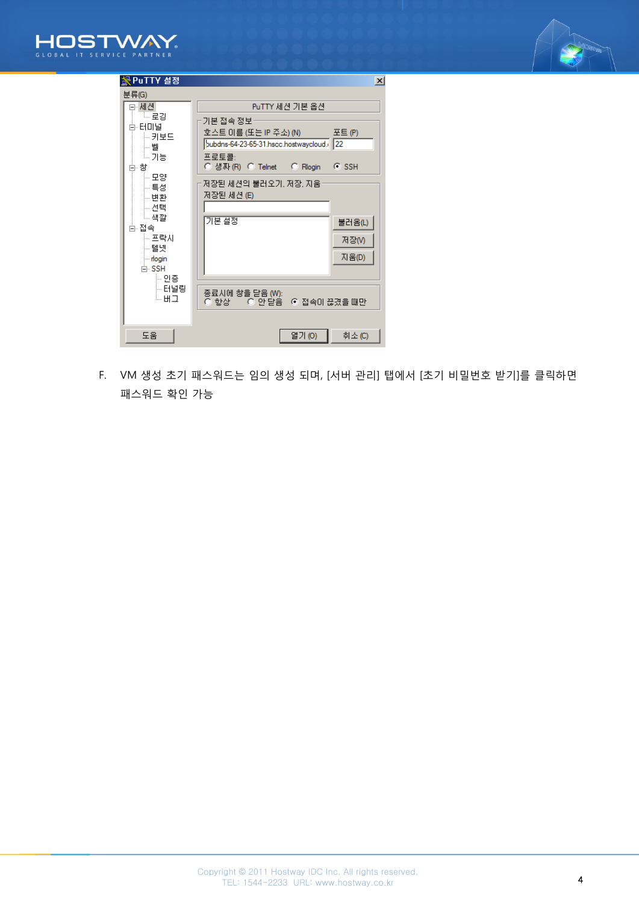



| 图 PuTTY 설정      |                                          | $\boldsymbol{\mathsf{x}}$ |
|-----------------|------------------------------------------|---------------------------|
| 분류(G)           |                                          |                           |
| EH세션.           | PuTTY 세션 기본 옵션                           |                           |
| - - 로깅          | ·기본 접속 정보·                               |                           |
| 白 터미널<br>├┈ 키보드 | 호스트 미름 (또는 IP 주소) (N) ______             | 포트 (P)                    |
| ⊹┈ 벨            | pubdns-64-23-65-31.hscc.hostwaycloud. 22 |                           |
| 느가능             | 프로토콜:                                    |                           |
| 白 창.            | ○ 생짜 (R) ⊙ Telnet   ○ Rlogin   ⊙ SSH     |                           |
| └─ 모양<br>는 특성   | 저장된 세션의 불러오기, 저장, 지움·                    |                           |
| ├┈변환            | 저장된 세션 (E)                               |                           |
| ▒ 선택            |                                          |                           |
| └┈색깔<br>白 접속    | 기본 설정                                    | 불러옴(L)                    |
| ☞ 프락시           |                                          | 저장M                       |
| ├┈ 텔 넻          |                                          |                           |
| no din          |                                          | 지움(D)                     |
| ⊫ SSH<br>⊨ 인증   |                                          |                           |
| ├┈ 터널링          | 종료시에 창을 닫음 (W):                          |                           |
| └−버그            | ○ 항상 - ○ 안 닫음 - ⊙ 접속이 끊겼을 때만             |                           |
|                 |                                          |                           |
|                 |                                          |                           |
| 도움              | 열기 (0).                                  | 취소 (C)                    |

F. VM 생성 초기 패스워드는 임의 생성 되며, [서버 관리] 탭에서 [초기 비밀번호 받기]를 클릭하면 패스워드 확인 가능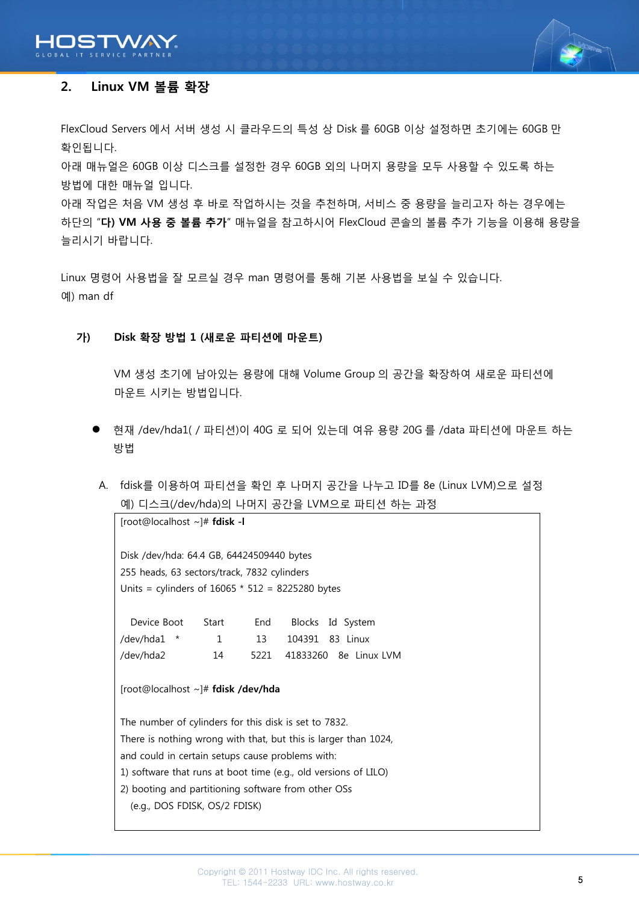



# <span id="page-4-0"></span>2. Linux VM 볼륨 확장

FlexCloud Servers 에서 서버 생성 시 클라우드의 특성 상 Disk 를 60GB 이상 설정하면 초기에는 60GB 만 확인됩니다.

아래 매뉴얼은 60GB 이상 디스크를 설정한 경우 60GB 외의 나머지 용량을 모두 사용할 수 있도록 하는 방법에 대한 매뉴얼 입니다.

아래 작업은 처음 VM 생성 후 바로 작업하시는 것을 추천하며, 서비스 중 용량을 늘리고자 하는 경우에는 하단의 "다) VM 사용 중 볼륨 추가" 매뉴얼을 참고하시어 FlexCloud 콘솔의 볼륨 추가 기능을 이용해 용량을 늘리시기 바랍니다.

Linux 명령어 사용법을 잘 모르실 경우 man 명령어를 통해 기본 사용법을 보실 수 있습니다. 예) man df

#### <span id="page-4-1"></span>가) Disk 확장 방법 1 (새로운 파티션에 마운트)

[root@localhost ~]# fdisk -l

VM 생성 초기에 남아있는 용량에 대해 Volume Group 의 공간을 확장하여 새로운 파티션에 마운트 시키는 방법입니다.

- 현재 /dev/hda1( / 파티션)이 40G 로 되어 있는데 여유 용량 20G 를 /data 파티션에 마운트 하는 방법
- A. fdisk를 이용하여 파티션을 확인 후 나머지 공간을 나누고 ID를 8e (Linux LVM)으로 설정 예) 디스크(/dev/hda)의 나머지 공간을 LVM으로 파티션 하는 과정

Disk /dev/hda: 64.4 GB, 64424509440 bytes 255 heads, 63 sectors/track, 7832 cylinders Units = cylinders of  $16065 * 512 = 8225280$  bytes Device Boot Start End Blocks Id System /dev/hda1 \* 1 13 104391 83 Linux /dev/hda2 14 5221 41833260 8e Linux LVM [root@localhost ~]# fdisk /dev/hda The number of cylinders for this disk is set to 7832. There is nothing wrong with that, but this is larger than 1024, and could in certain setups cause problems with: 1) software that runs at boot time (e.g., old versions of LILO) 2) booting and partitioning software from other OSs (e.g., DOS FDISK, OS/2 FDISK)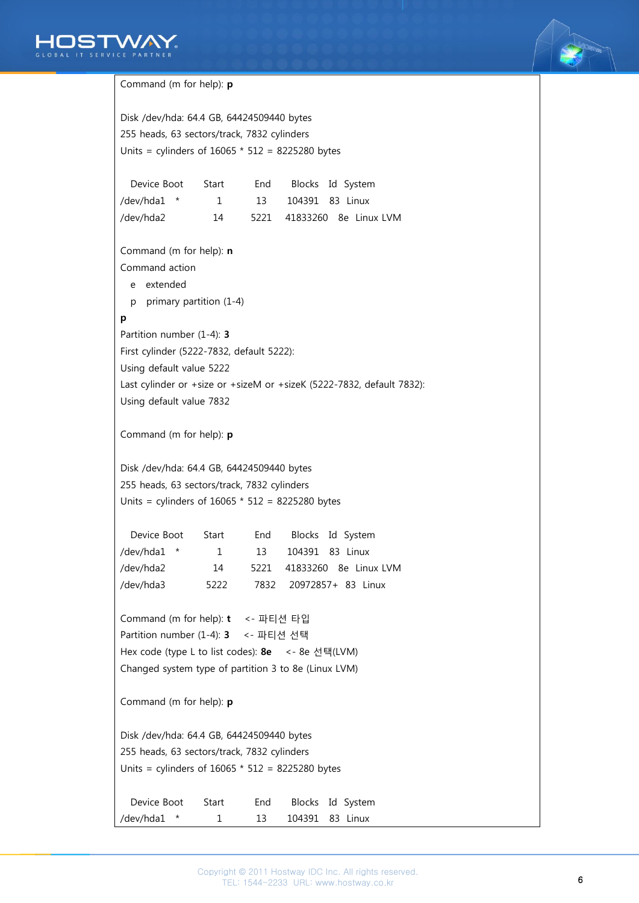



```
Command (m for help): p
Disk /dev/hda: 64.4 GB, 64424509440 bytes
255 heads, 63 sectors/track, 7832 cylinders
Units = cylinders of 16065 * 512 = 8225280 bytes
   Device Boot Start End Blocks Id System
/dev/hda1 * 1 13 104391 83 Linux
/dev/hda2 14 5221 41833260 8e Linux LVM
Command (m for help): n
Command action
   e extended
   p primary partition (1-4)
p
Partition number (1-4): 3
First cylinder (5222-7832, default 5222): 
Using default value 5222
Last cylinder or +size or +sizeM or +sizeK (5222-7832, default 7832): 
Using default value 7832
Command (m for help): p
Disk /dev/hda: 64.4 GB, 64424509440 bytes
255 heads, 63 sectors/track, 7832 cylinders
Units = cylinders of 16065 * 512 = 8225280 bytes
   Device Boot Start End Blocks Id System
/dev/hda1 * 1 13 104391 83 Linux
/dev/hda2 14 5221 41833260 8e Linux LVM
/dev/hda3 5222 7832 20972857+ 83 Linux
Command (m for help): t <- 파티션 타입
Partition number (1-4): 3 <- 파티션 선택
Hex code (type L to list codes): 8e <- 8e 선택(LVM)
Changed system type of partition 3 to 8e (Linux LVM)
Command (m for help): p
Disk /dev/hda: 64.4 GB, 64424509440 bytes
255 heads, 63 sectors/track, 7832 cylinders
Units = cylinders of 16065 * 512 = 8225280 bytes
   Device Boot Start End Blocks Id System
/dev/hda1 * 1 13 104391 83 Linux
```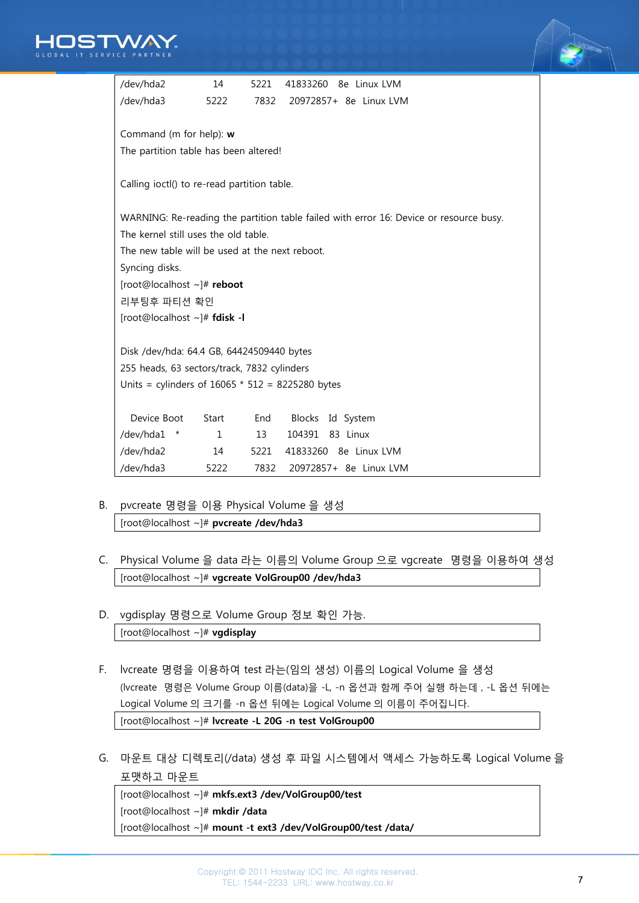



| /dev/hda2                                          | 14    | 5221 | 41833260 8e Linux LVM                                                                  |  |  |  |  |  |
|----------------------------------------------------|-------|------|----------------------------------------------------------------------------------------|--|--|--|--|--|
| /dev/hda3                                          | 5222  | 7832 | 20972857+ 8e Linux LVM                                                                 |  |  |  |  |  |
|                                                    |       |      |                                                                                        |  |  |  |  |  |
| Command (m for help): w                            |       |      |                                                                                        |  |  |  |  |  |
| The partition table has been altered!              |       |      |                                                                                        |  |  |  |  |  |
|                                                    |       |      |                                                                                        |  |  |  |  |  |
| Calling ioctl() to re-read partition table.        |       |      |                                                                                        |  |  |  |  |  |
|                                                    |       |      |                                                                                        |  |  |  |  |  |
|                                                    |       |      | WARNING: Re-reading the partition table failed with error 16: Device or resource busy. |  |  |  |  |  |
| The kernel still uses the old table.               |       |      |                                                                                        |  |  |  |  |  |
| The new table will be used at the next reboot.     |       |      |                                                                                        |  |  |  |  |  |
| Syncing disks.                                     |       |      |                                                                                        |  |  |  |  |  |
| [root@localhost ~]# reboot                         |       |      |                                                                                        |  |  |  |  |  |
| 리부팅후 파티션 확인                                        |       |      |                                                                                        |  |  |  |  |  |
| [root@localhost ~]# fdisk -I                       |       |      |                                                                                        |  |  |  |  |  |
|                                                    |       |      |                                                                                        |  |  |  |  |  |
| Disk /dev/hda: 64.4 GB, 64424509440 bytes          |       |      |                                                                                        |  |  |  |  |  |
| 255 heads, 63 sectors/track, 7832 cylinders        |       |      |                                                                                        |  |  |  |  |  |
| Units = cylinders of $16065 * 512 = 8225280$ bytes |       |      |                                                                                        |  |  |  |  |  |
|                                                    |       |      |                                                                                        |  |  |  |  |  |
| Device Boot                                        | Start | End  | Blocks Id System                                                                       |  |  |  |  |  |
| /dev/hda1<br>$\star$                               | 1     | 13   | 83 Linux<br>104391                                                                     |  |  |  |  |  |
| /dev/hda2                                          | 14    | 5221 | 41833260 8e Linux LVM                                                                  |  |  |  |  |  |
| /dev/hda3                                          | 5222  | 7832 | 20972857+ 8e Linux LVM                                                                 |  |  |  |  |  |

- B. pvcreate 명령을 이용 Physical Volume 을 생성 [root@localhost ~]# pvcreate /dev/hda3
- C. Physical Volume 을 data 라는 이름의 Volume Group 으로 vgcreate 명령을 이용하여 생성 [root@localhost ~]# vgcreate VolGroup00 /dev/hda3
- D. vgdisplay 명령으로 Volume Group 정보 확인 가능. [root@localhost ~]# vgdisplay
- F. lvcreate 명령을 이용하여 test 라는(임의 생성) 이름의 Logical Volume 을 생성 (lvcreate 명령은 Volume Group 이름(data)을 -L, -n 옵션과 함께 주어 실행 하는데 , -L 옵션 뒤에는 Logical Volume 의 크기를 -n 옵션 뒤에는 Logical Volume 의 이름이 주어집니다. [root@localhost ~]# lvcreate -L 20G -n test VolGroup00
- G. 마운트 대상 디렉토리(/data) 생성 후 파일 시스템에서 액세스 가능하도록 Logical Volume 을 포맷하고 마운트

| $[root@localhost ~\rightarrow\# mkfs.ext3 /dev/VolGroup00/test]$ |
|------------------------------------------------------------------|
| $[root@localhost \sim ]# m$ kdir /data                           |
| [root@localhost ~]# mount -t ext3 /dev/VolGroup00/test /data/    |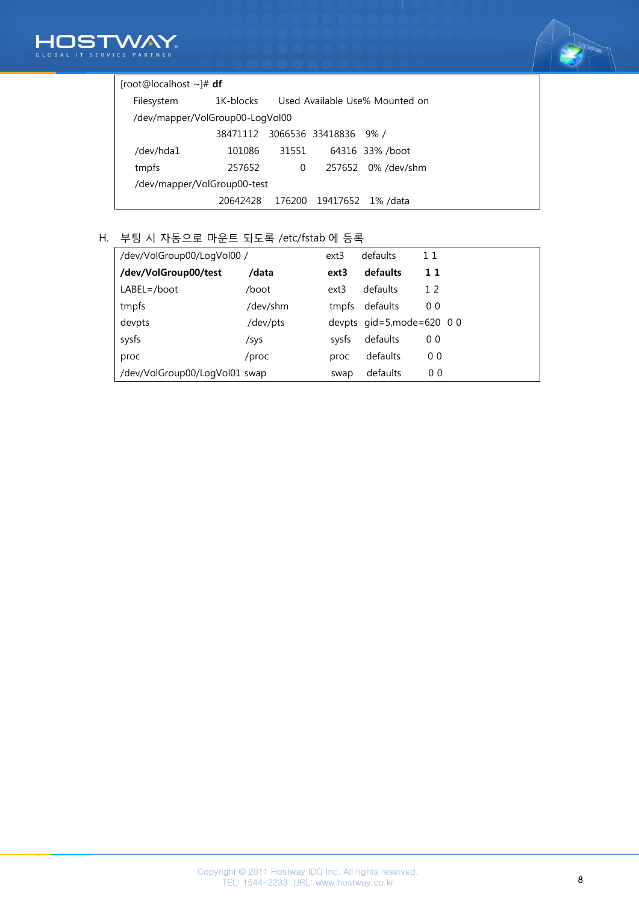



## [root@localhost ~]# df

| Filesystem                      | 1K-blocks | Used Available Use% Mounted on |                               |                    |  |  |  |  |
|---------------------------------|-----------|--------------------------------|-------------------------------|--------------------|--|--|--|--|
| /dev/mapper/VolGroup00-LogVol00 |           |                                |                               |                    |  |  |  |  |
|                                 |           |                                | 38471112 3066536 33418836 9%/ |                    |  |  |  |  |
| /dev/hda1                       | 101086    | 31551                          |                               | 64316 33% /boot    |  |  |  |  |
| tmpfs                           | 257652    | 0                              |                               | 257652 0% /dev/shm |  |  |  |  |
| /dev/mapper/VolGroup00-test     |           |                                |                               |                    |  |  |  |  |
|                                 | 20642428  | 176200                         |                               | 19417652 1%/data   |  |  |  |  |

# H. 부팅 시 자동으로 마운트 되도록 /etc/fstab 에 등록

| /dev/VolGroup00/LogVol00 /    | ext3     | defaults | 11                           |                |
|-------------------------------|----------|----------|------------------------------|----------------|
| /dev/VolGroup00/test          | /data    | ext3     | defaults                     | 11             |
| $LABEL = /boot$               | /boot    | ext3     | defaults                     | 12             |
| tmpfs                         | /dev/shm | tmpfs    | defaults                     | 0 <sub>0</sub> |
| devpts                        | /dev/pts |          | devpts $qid=5, mode=620 0 0$ |                |
| sysfs                         | /sys     | sysfs    | defaults                     | 0 <sub>0</sub> |
| proc                          | /proc    | proc     | defaults                     | 0 <sub>0</sub> |
| /dev/VolGroup00/LogVol01 swap |          | swap     | defaults                     | 0 <sub>0</sub> |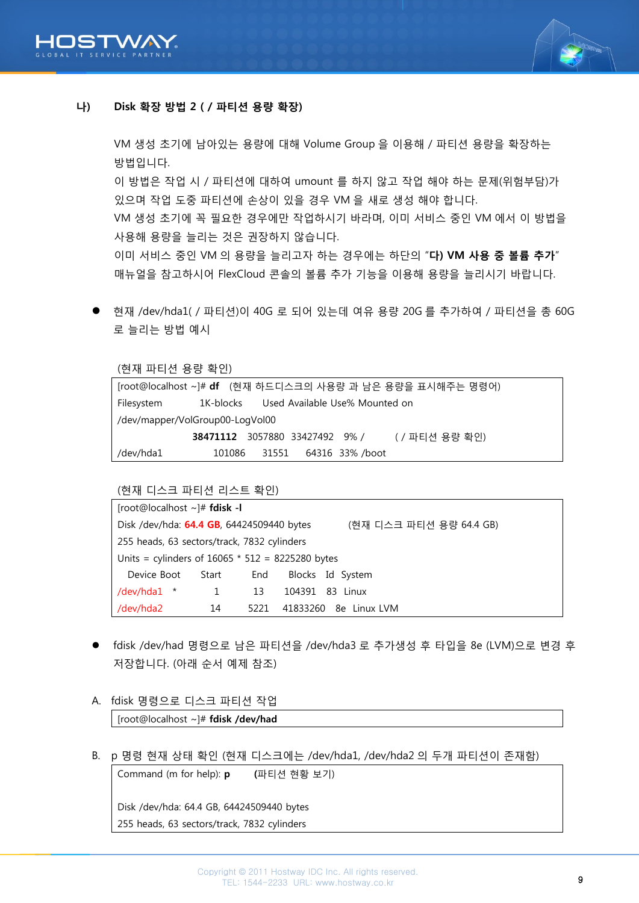



# <span id="page-8-0"></span>나) Disk 확장 방법 2 ( / 파티션 용량 확장)

사용해 용량을 늘리는 것은 권장하지 않습니다.

VM 생성 초기에 남아있는 용량에 대해 Volume Group 을 이용해 / 파티션 용량을 확장하는 방법입니다. 이 방법은 작업 시 / 파티션에 대하여 umount 를 하지 않고 작업 해야 하는 문제(위험부담)가 있으며 작업 도중 파티션에 손상이 있을 경우 VM 을 새로 생성 해야 합니다. VM 생성 초기에 꼭 필요한 경우에만 작업하시기 바라며, 이미 서비스 중인 VM 에서 이 방법을

이미 서비스 중인 VM 의 용량을 늘리고자 하는 경우에는 하단의 "다) VM 사용 중 볼륨 추가" 매뉴얼을 참고하시어 FlexCloud 콘솔의 볼륨 추가 기능을 이용해 용량을 늘리시기 바랍니다.

 현재 /dev/hda1( / 파티션)이 40G 로 되어 있는데 여유 용량 20G 를 추가하여 / 파티션을 총 60G 로 늘리는 방법 예시

(현재 파티션 용량 확인)

| [root@localhost ~]# df (현재 하드디스크의 사용량 과 남은 용량을 표시해주는 명령어) |                                          |  |  |                             |                                                    |  |  |
|-----------------------------------------------------------|------------------------------------------|--|--|-----------------------------|----------------------------------------------------|--|--|
| Filesystem                                                | 1K-blocks Used Available Use% Mounted on |  |  |                             |                                                    |  |  |
|                                                           | /dev/mapper/VolGroup00-LogVol00          |  |  |                             |                                                    |  |  |
|                                                           |                                          |  |  |                             | <b>38471112</b> 3057880 33427492 9% / (/파티션 용량 확인) |  |  |
| /dev/hda1                                                 |                                          |  |  | 101086 31551 64316 33%/boot |                                                    |  |  |

(현재 디스크 파티션 리스트 확인)

| [root@localhost~]# fdisk -I                                          |                                                    |      |  |                       |  |  |  |  |
|----------------------------------------------------------------------|----------------------------------------------------|------|--|-----------------------|--|--|--|--|
| Disk /dev/hda: 64.4 GB, 64424509440 bytes<br>(현재 디스크 파티션 용량 64.4 GB) |                                                    |      |  |                       |  |  |  |  |
|                                                                      | 255 heads, 63 sectors/track, 7832 cylinders        |      |  |                       |  |  |  |  |
|                                                                      | Units = cylinders of $16065 * 512 = 8225280$ bytes |      |  |                       |  |  |  |  |
| Device Boot                                                          | Start                                              | End  |  | Blocks Id System      |  |  |  |  |
| /dev/hda1 $*$                                                        | 1                                                  | 13   |  | 104391 83 Linux       |  |  |  |  |
| /dev/hda2                                                            | 14                                                 | 5221 |  | 41833260 8e Linux LVM |  |  |  |  |

- fdisk /dev/had 명령으로 남은 파티션을 /dev/hda3 로 추가생성 후 타입을 8e (LVM)으로 변경 후 저장합니다. (아래 순서 예제 참조)
- A. fdisk 명령으로 디스크 파티션 작업

[root@localhost ~]# fdisk /dev/had

B. p 명령 현재 상태 확인 (현재 디스크에는 /dev/hda1, /dev/hda2 의 두개 파티션이 존재함)

Command (m for help): p (파티션 현황 보기)

Disk /dev/hda: 64.4 GB, 64424509440 bytes 255 heads, 63 sectors/track, 7832 cylinders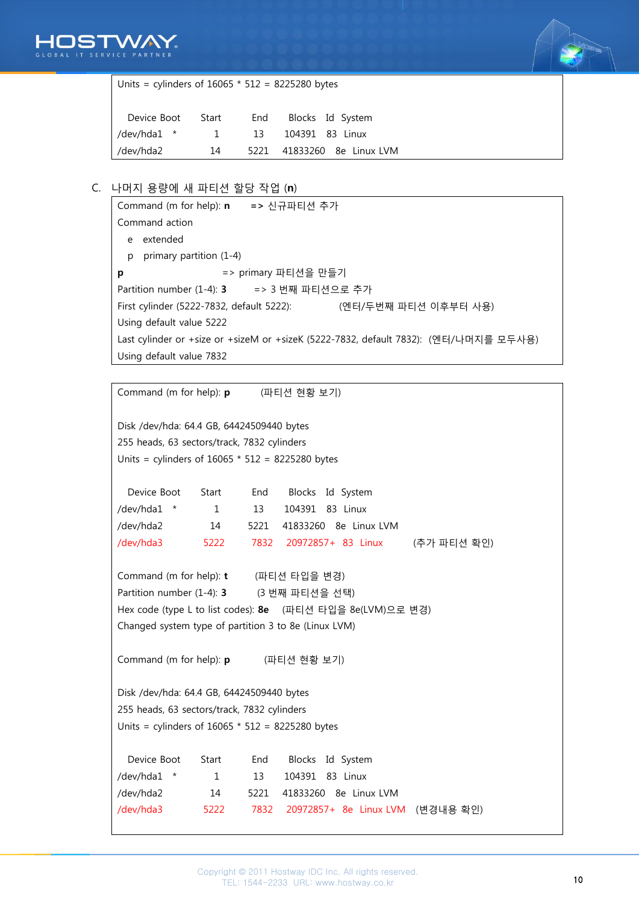



Units = cylinders of 16065 \* 512 = 8225280 bytes Device Boot Start End Blocks Id System

| /dev/hda1 * |    | 13 104391 83 Linux |                            |
|-------------|----|--------------------|----------------------------|
| /dev/hda2   | 14 |                    | 5221 41833260 8e Linux LVM |

# C. 나머지 용량에 새 파티션 할당 작업 (n)

|                                                                                      | Command (m for help): n => 신규파티션 추가                               |  |  |  |  |  |
|--------------------------------------------------------------------------------------|-------------------------------------------------------------------|--|--|--|--|--|
|                                                                                      | Command action                                                    |  |  |  |  |  |
| e                                                                                    | extended                                                          |  |  |  |  |  |
| p                                                                                    | primary partition $(1-4)$                                         |  |  |  |  |  |
| p                                                                                    | => primary 파티션을 만들기                                               |  |  |  |  |  |
|                                                                                      | Partition number (1-4): 3 = > 3 번째 파티션으로 추가                       |  |  |  |  |  |
|                                                                                      | First cylinder (5222-7832, default 5222):<br>(엔터/두번째 파티션 이후부터 사용) |  |  |  |  |  |
|                                                                                      | Using default value 5222                                          |  |  |  |  |  |
| Last cylinder or +size or +sizeM or +sizeK (5222-7832, default 7832): (엔터/나머지를 모두사용) |                                                                   |  |  |  |  |  |
|                                                                                      | Using default value 7832                                          |  |  |  |  |  |

Command (m for help): p (파티션 현황 보기) Disk /dev/hda: 64.4 GB, 64424509440 bytes 255 heads, 63 sectors/track, 7832 cylinders Units = cylinders of 16065 \* 512 = 8225280 bytes Device Boot Start End Blocks Id System

| /dev/hda1 * | $\sim$ 1 | 13 104391 83 Linux         |             |
|-------------|----------|----------------------------|-------------|
| /dev/hda2   | 14       | 5221 41833260 8e Linux LVM |             |
| /dev/hda3   | 5222     | 7832 20972857+ 83 Linux    | (추가 파티션 확인) |

Command (m for help): t (파티션 타입을 변경) Partition number (1-4): 3 (3 번째 파티션을 선택) Hex code (type L to list codes): 8e (파티션 타입을 8e(LVM)으로 변경) Changed system type of partition 3 to 8e (Linux LVM)

Command (m for help): p (파티션 현황 보기)

Disk /dev/hda: 64.4 GB, 64424509440 bytes 255 heads, 63 sectors/track, 7832 cylinders Units = cylinders of  $16065 * 512 = 8225280$  bytes

| Device Boot | Start     | End | Blocks Id System                      |  |
|-------------|-----------|-----|---------------------------------------|--|
| /dev/hda1 * | $1 \quad$ | 13. | 104391 83 Linux                       |  |
| /dev/hda2   | 14        |     | 5221 41833260 8e Linux LVM            |  |
| /dev/hda3   | 5222      |     | 7832 20972857+ 8e Linux LVM (변경내용 확인) |  |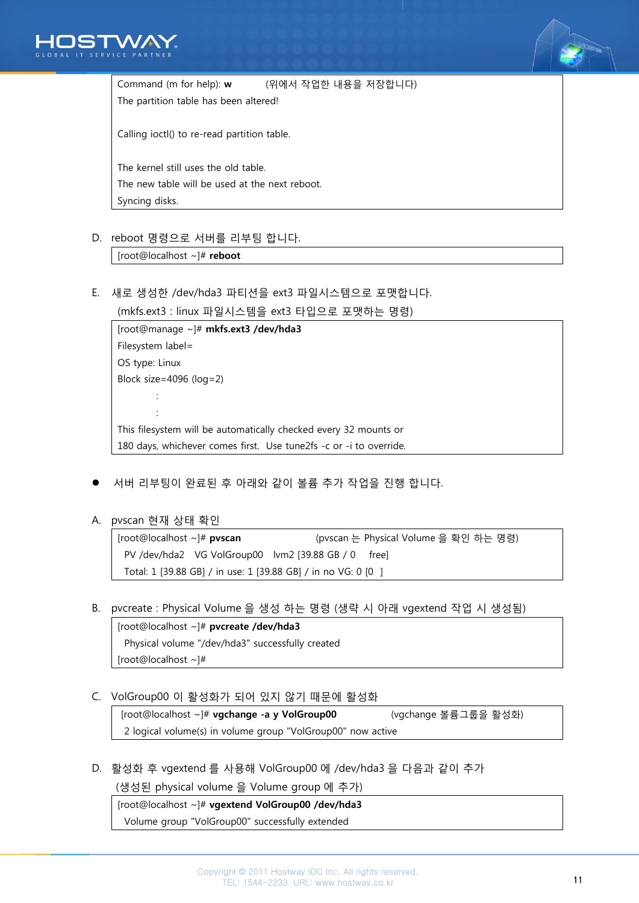



Command (m for help): w (위에서 작업한 내용을 저장합니다) The partition table has been altered! Calling ioctl() to re-read partition table. The kernel still uses the old table. The new table will be used at the next reboot. Syncing disks.

D. reboot 명령으로 서버를 리부팅 합니다.

[root@localhost ~]# reboot

E. 새로 생성한 /dev/hda3 파티션을 ext3 파일시스템으로 포맷합니다.

```
(mkfs.ext3 : linux 파일시스템을 ext3 타입으로 포맷하는 명령)
```
[root@manage ~]# mkfs.ext3 /dev/hda3 Filesystem label= OS type: Linux Block size=4096 (log=2) : : This filesystem will be automatically checked every 32 mounts or 180 days, whichever comes first. Use tune2fs -c or -i to override.

서버 리부팅이 완료된 후 아래와 같이 볼륨 추가 작업을 진행 합니다.

A. pvscan 현재 상태 확인

| [root@localhost ~]# <b>pvscan</b>                             |  | (pvscan 는 Physical Volume 을 확인 하는 명령) |  |  |  |  |
|---------------------------------------------------------------|--|---------------------------------------|--|--|--|--|
| PV /dev/hda2 VG VolGroup00 lvm2 [39.88 GB / 0 free]           |  |                                       |  |  |  |  |
| Total: 1 [39.88 GB] / in use: 1 [39.88 GB] / in no VG: 0 [0 ] |  |                                       |  |  |  |  |

B. pvcreate : Physical Volume 을 생성 하는 명령 (생략 시 아래 vgextend 작업 시 생성됨)

[root@localhost ~]# pvcreate /dev/hda3 Physical volume "/dev/hda3" successfully created [root@localhost ~]#

C. VolGroup00 이 활성화가 되어 있지 않기 때문에 활성화

[root@localhost ~]# vgchange -a y VolGroup00 (vgchange 볼륨그룹을 활성화) 2 logical volume(s) in volume group "VolGroup00" now active

D. 활성화 후 vgextend 를 사용해 VolGroup00 에 /dev/hda3 을 다음과 같이 추가

(생성된 physical volume 을 Volume group 에 추가)

[root@localhost ~]# vgextend VolGroup00 /dev/hda3

Volume group "VolGroup00" successfully extended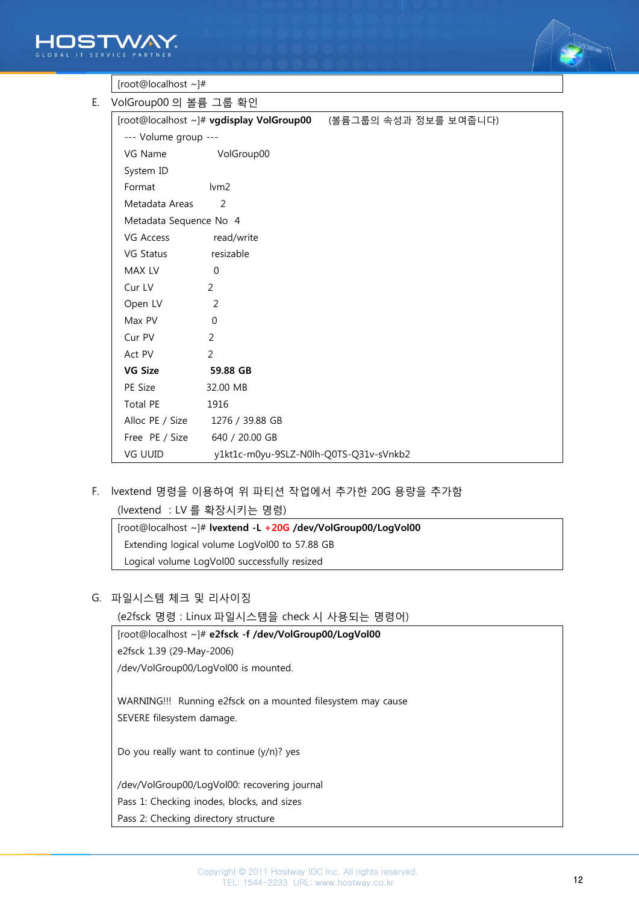



| [root@localhost~]# |  |
|--------------------|--|
|                    |  |

| E. VolGroup00 의 볼륨 그룹 확인 |                                        |                                                                |
|--------------------------|----------------------------------------|----------------------------------------------------------------|
|                          |                                        | [root@localhost ~]# vgdisplay VolGroup00 (볼륨그룹의 속성과 정보를 보여줍니다) |
| --- Volume group ---     |                                        |                                                                |
| VG Name VolGroup00       |                                        |                                                                |
| System ID                |                                        |                                                                |
| Format                   | lvm2                                   |                                                                |
| Metadata Areas           | 2                                      |                                                                |
| Metadata Sequence No 4   |                                        |                                                                |
| VG Access                | read/write                             |                                                                |
| VG Status                | resizable                              |                                                                |
| MAX LV                   | $\Omega$                               |                                                                |
| Cur LV                   | 2                                      |                                                                |
| Open LV                  | 2                                      |                                                                |
| Max PV                   | $\Omega$                               |                                                                |
| Cur PV                   | $\mathcal{P}$                          |                                                                |
| Act PV                   | $\mathcal{P}$                          |                                                                |
| <b>VG Size</b>           | 59.88 GB                               |                                                                |
| PE Size                  | 32.00 MB                               |                                                                |
| Total PE                 | 1916                                   |                                                                |
|                          | Alloc PE / Size 1276 / 39.88 GB        |                                                                |
| Free PE / Size           | 640 / 20.00 GB                         |                                                                |
| VG UUID                  | y1kt1c-m0yu-9SLZ-N0lh-Q0TS-Q31v-sVnkb2 |                                                                |

F. lvextend 명령을 이용하여 위 파티션 작업에서 추가한 20G 용량을 추가함

(lvextend : LV 를 확장시키는 명령)

[root@localhost ~]# lvextend -L +20G /dev/VolGroup00/LogVol00 Extending logical volume LogVol00 to 57.88 GB Logical volume LogVol00 successfully resized

#### G. 파일시스템 체크 및 리사이징

(e2fsck 명령 : Linux 파일시스템을 check 시 사용되는 명령어)

[root@localhost ~]# e2fsck -f /dev/VolGroup00/LogVol00 e2fsck 1.39 (29-May-2006) /dev/VolGroup00/LogVol00 is mounted.

WARNING!!! Running e2fsck on a mounted filesystem may cause SEVERE filesystem damage.

Do you really want to continue (y/n)? yes

/dev/VolGroup00/LogVol00: recovering journal

Pass 1: Checking inodes, blocks, and sizes

Pass 2: Checking directory structure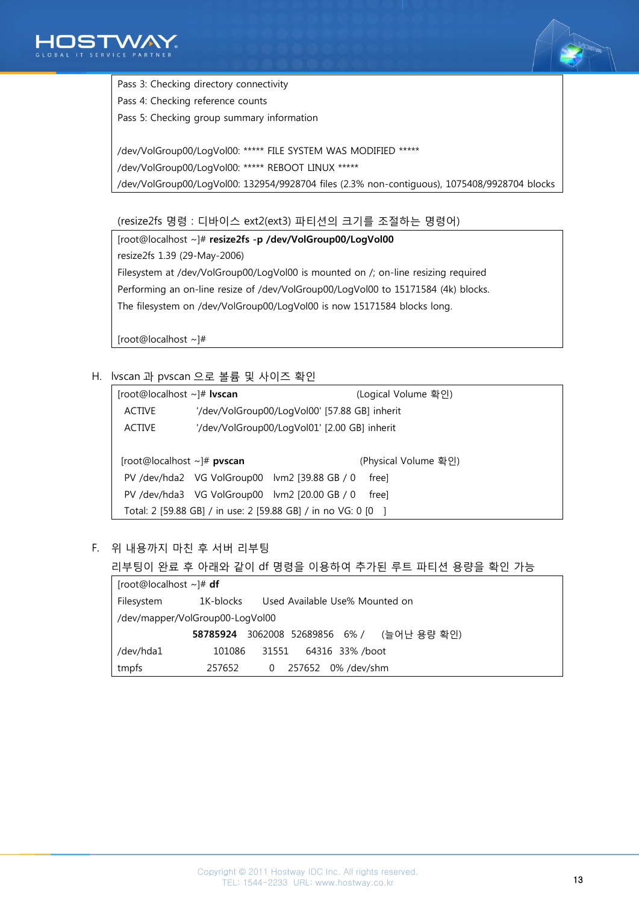



Pass 3: Checking directory connectivity

Pass 4: Checking reference counts

Pass 5: Checking group summary information

/dev/VolGroup00/LogVol00: \*\*\*\*\* FILE SYSTEM WAS MODIFIED \*\*\*\*\* /dev/VolGroup00/LogVol00: \*\*\*\*\* REBOOT LINUX \*\*\*\*\* /dev/VolGroup00/LogVol00: 132954/9928704 files (2.3% non-contiguous), 1075408/9928704 blocks

(resize2fs 명령 : 디바이스 ext2(ext3) 파티션의 크기를 조절하는 명령어)

[root@localhost ~]# resize2fs -p /dev/VolGroup00/LogVol00 resize2fs 1.39 (29-May-2006) Filesystem at /dev/VolGroup00/LogVol00 is mounted on /; on-line resizing required Performing an on-line resize of /dev/VolGroup00/LogVol00 to 15171584 (4k) blocks. The filesystem on /dev/VolGroup00/LogVol00 is now 15171584 blocks long.

[root@localhost ~]#

H. lvscan 과 pvscan 으로 볼륨 및 사이즈 확인

| [root@localhost ~]# <b>lvscan</b>                           |  |                                               | (Logical Volume 확인)  |  |  |  |  |
|-------------------------------------------------------------|--|-----------------------------------------------|----------------------|--|--|--|--|
| <b>ACTIVE</b>                                               |  | '/dev/VolGroup00/LogVol00' [57.88 GB] inherit |                      |  |  |  |  |
| <b>ACTIVE</b>                                               |  | '/dev/VolGroup00/LogVol01' [2.00 GB] inherit  |                      |  |  |  |  |
|                                                             |  |                                               |                      |  |  |  |  |
| $[root@localhost \sim]$ # pvscan                            |  |                                               | (Physical Volume 확인) |  |  |  |  |
|                                                             |  | PV /dev/hda2 VG VolGroup00 lvm2 [39.88 GB / 0 | freel                |  |  |  |  |
|                                                             |  | PV /dev/hda3 VG VolGroup00 lvm2 [20.00 GB / 0 | freel                |  |  |  |  |
| Total: 2 [59.88 GB] / in use: 2 [59.88 GB] / in no VG: 0 [0 |  |                                               |                      |  |  |  |  |
|                                                             |  |                                               |                      |  |  |  |  |

F. 위 내용까지 마친 후 서버 리부팅

리부팅이 완료 후 아래와 같이 df 명령을 이용하여 추가된 루트 파티션 용량을 확인 가능

| [root@localhost ~]# <b>df</b>   |                                             |                                   |  |  |  |  |  |  |
|---------------------------------|---------------------------------------------|-----------------------------------|--|--|--|--|--|--|
| Filesystem                      | Used Available Use% Mounted on<br>1K-blocks |                                   |  |  |  |  |  |  |
| /dev/mapper/VolGroup00-LogVol00 |                                             |                                   |  |  |  |  |  |  |
|                                 | 58785924                                    | 3062008 52689856 6% / (늘어난 용량 확인) |  |  |  |  |  |  |
| /dev/hda1                       | 101086                                      | 64316 33% /boot<br>31551          |  |  |  |  |  |  |
| tmpfs                           | 257652                                      | 257652<br>0% /dev/shm<br>0        |  |  |  |  |  |  |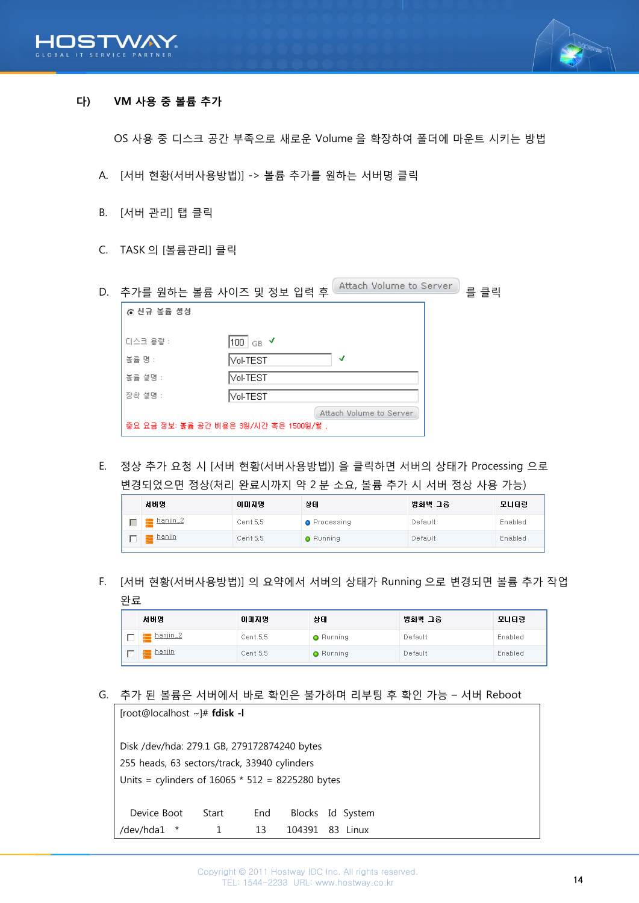



# <span id="page-13-0"></span>다) VM 사용 중 볼륨 추가

OS 사용 중 디스크 공간 부족으로 새로운 Volume 을 확장하여 폴더에 마운트 시키는 방법

- A. [서버 현황(서버사용방법)] -> 볼륨 추가를 원하는 서버명 클릭
- B. [서버 관리] 탭 클릭
- C. TASK 의 [볼륨관리] 클릭

| D. |            | Attach Volume to Server.<br>추가를 원하는 볼륨 사이즈 및 정보 입력 후              | 를 클릭 |
|----|------------|-------------------------------------------------------------------|------|
|    | ⊙ 신규 볼륨 생성 |                                                                   |      |
|    | [디스크 용량 :  | 100   <sub>GB</sub> ✔                                             |      |
|    | 볼륨 명 :     | √<br> Vol-TEST                                                    |      |
|    | 볼륨 설명 :    | Vol-TEST                                                          |      |
|    | 장착 설명 :    | Vol-TEST                                                          |      |
|    |            | Attach Volume to Server<br>중요 요금 정보: 볼륨 공간 비용은 3원/시간 혹은 1500원/월 , |      |

E. 정상 추가 요청 시 [서버 현황(서버사용방법)] 을 클릭하면 서버의 상태가 Processing 으로 변경되었으면 정상(처리 완료시까지 약 2 분 소요, 볼륨 추가 시 서버 정상 사용 가능)

|                                                              | 방화벽 그룹<br>모니터링 |
|--------------------------------------------------------------|----------------|
| hanjin_2<br>Cent 5,5<br>Default<br><b>O</b> Processing       | Enabled        |
| <b>Exp</b> hanjin<br>Cent 5.5<br>Default<br><b>O</b> Running | Enabled        |

F. [서버 현황(서버사용방법)] 의 요약에서 서버의 상태가 Running 으로 변경되면 볼륨 추가 작업 완료

| 서버명               | 아마지명     | 상태               | 방화벽 그룹  | 모니터링    |
|-------------------|----------|------------------|---------|---------|
| <u>m hanjin 2</u> | Cent 5.5 | <b>O</b> Running | Default | Enabled |
| <u>a hanjin</u>   | Cent 5.5 | <b>O</b> Running | Default | Enabled |

G. 추가 된 볼륨은 서버에서 바로 확인은 불가하며 리부팅 후 확인 가능 – 서버 Reboot

| [root@localhost~]# fdisk -I                        |       |     |        |                  |  |  |
|----------------------------------------------------|-------|-----|--------|------------------|--|--|
| Disk /dev/hda: 279.1 GB, 279172874240 bytes        |       |     |        |                  |  |  |
| 255 heads, 63 sectors/track, 33940 cylinders       |       |     |        |                  |  |  |
| Units = cylinders of $16065 * 512 = 8225280$ bytes |       |     |        |                  |  |  |
| Device Boot                                        | Start | End |        | Blocks Id System |  |  |
| /dev/hda1<br>$\ast$                                |       | 13  | 104391 | 83<br>l inux     |  |  |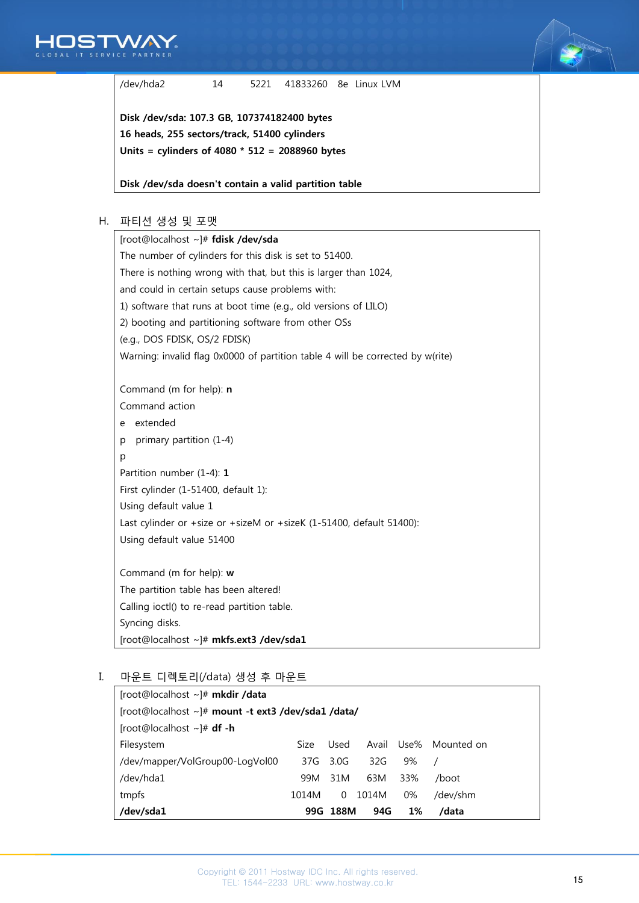



/dev/hda2 14 5221 41833260 8e Linux LVM

Disk /dev/sda: 107.3 GB, 107374182400 bytes 16 heads, 255 sectors/track, 51400 cylinders Units = cylinders of 4080 \* 512 = 2088960 bytes

Disk /dev/sda doesn't contain a valid partition table

## H. 파티션 생성 및 포맷

| [root@localhost ~]# fdisk /dev/sda                                             |  |  |  |  |  |  |  |  |
|--------------------------------------------------------------------------------|--|--|--|--|--|--|--|--|
| The number of cylinders for this disk is set to 51400.                         |  |  |  |  |  |  |  |  |
| There is nothing wrong with that, but this is larger than 1024,                |  |  |  |  |  |  |  |  |
| and could in certain setups cause problems with:                               |  |  |  |  |  |  |  |  |
| 1) software that runs at boot time (e.g., old versions of LILO)                |  |  |  |  |  |  |  |  |
| 2) booting and partitioning software from other OSs                            |  |  |  |  |  |  |  |  |
| (e.g., DOS FDISK, OS/2 FDISK)                                                  |  |  |  |  |  |  |  |  |
| Warning: invalid flag 0x0000 of partition table 4 will be corrected by w(rite) |  |  |  |  |  |  |  |  |
|                                                                                |  |  |  |  |  |  |  |  |
| Command (m for help): n                                                        |  |  |  |  |  |  |  |  |
| Command action                                                                 |  |  |  |  |  |  |  |  |
| extended<br>e                                                                  |  |  |  |  |  |  |  |  |
| primary partition (1-4)<br>p                                                   |  |  |  |  |  |  |  |  |
| p                                                                              |  |  |  |  |  |  |  |  |
| Partition number (1-4): 1                                                      |  |  |  |  |  |  |  |  |
| First cylinder (1-51400, default 1):                                           |  |  |  |  |  |  |  |  |
| Using default value 1                                                          |  |  |  |  |  |  |  |  |
| Last cylinder or +size or +sizeM or +sizeK (1-51400, default 51400):           |  |  |  |  |  |  |  |  |
| Using default value 51400                                                      |  |  |  |  |  |  |  |  |
|                                                                                |  |  |  |  |  |  |  |  |
| Command (m for help): w                                                        |  |  |  |  |  |  |  |  |
| The partition table has been altered!                                          |  |  |  |  |  |  |  |  |
| Calling ioctl() to re-read partition table.                                    |  |  |  |  |  |  |  |  |
| Syncing disks.                                                                 |  |  |  |  |  |  |  |  |
| [root@localhost ~]# mkfs.ext3 /dev/sda1                                        |  |  |  |  |  |  |  |  |

# I. 마운트 디렉토리(/data) 생성 후 마운트

| [root@localhost ~]# mkdir /data                    |       |      |              |       |            |  |  |
|----------------------------------------------------|-------|------|--------------|-------|------------|--|--|
| [root@localhost ~]# mount -t ext3 /dev/sda1 /data/ |       |      |              |       |            |  |  |
| [root@localhost ~]# <b>df -h</b>                   |       |      |              |       |            |  |  |
| Filesystem                                         | Size  | Used | Avail        | Use%  | Mounted on |  |  |
| /dev/mapper/VolGroup00-LogVol00                    |       |      | 37G 3.0G 32G | 9%    |            |  |  |
| /dev/hda1                                          | 99M   | 31M  | 63M          | 33%   | /boot      |  |  |
| tmpfs                                              | 1014M | 0    | 1014M        | $0\%$ | /dev/shm   |  |  |
| /dev/sda1                                          | 99G   | 188M | 94G          | 1%    | /data      |  |  |